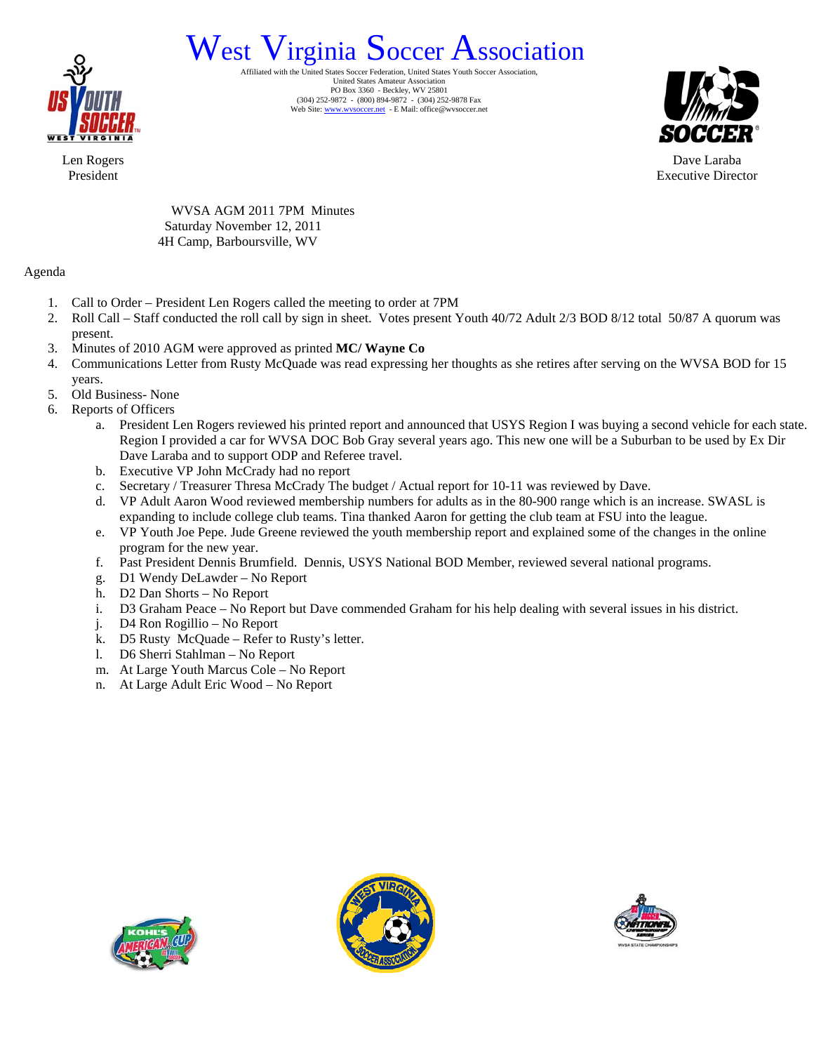

## West Virginia Soccer Association

United States Amateur Association PO Box 3360 - Beckley, WV 25801 (304) 252-9872 - (800) 894-9872 - (304) 252-9878 Fax Web Site: www.wvsoccer.net - E Mail: office@wvsoccer.net



Dave Laraba Executive Director

Len Rogers President

> WVSA AGM 2011 7PM Minutes Saturday November 12, 2011 4H Camp, Barboursville, WV

#### Agenda

- 1. Call to Order President Len Rogers called the meeting to order at 7PM
- 2. Roll Call Staff conducted the roll call by sign in sheet. Votes present Youth 40/72 Adult 2/3 BOD 8/12 total 50/87 A quorum was present.
- 3. Minutes of 2010 AGM were approved as printed **MC/ Wayne Co**
- 4. Communications Letter from Rusty McQuade was read expressing her thoughts as she retires after serving on the WVSA BOD for 15 years.
- 5. Old Business- None
- 6. Reports of Officers
	- a. President Len Rogers reviewed his printed report and announced that USYS Region I was buying a second vehicle for each state. Region I provided a car for WVSA DOC Bob Gray several years ago. This new one will be a Suburban to be used by Ex Dir Dave Laraba and to support ODP and Referee travel.
	- b. Executive VP John McCrady had no report
	- c. Secretary / Treasurer Thresa McCrady The budget / Actual report for 10-11 was reviewed by Dave.
	- d. VP Adult Aaron Wood reviewed membership numbers for adults as in the 80-900 range which is an increase. SWASL is expanding to include college club teams. Tina thanked Aaron for getting the club team at FSU into the league.
	- e. VP Youth Joe Pepe. Jude Greene reviewed the youth membership report and explained some of the changes in the online program for the new year.
	- f. Past President Dennis Brumfield. Dennis, USYS National BOD Member, reviewed several national programs.
	- g. D1 Wendy DeLawder No Report
	- h. D2 Dan Shorts No Report
	- i. D3 Graham Peace No Report but Dave commended Graham for his help dealing with several issues in his district.
	- j. D4 Ron Rogillio No Report
	- k. D5 Rusty McQuade Refer to Rusty's letter.
	- l. D6 Sherri Stahlman No Report
	- m. At Large Youth Marcus Cole No Report
	- n. At Large Adult Eric Wood No Report





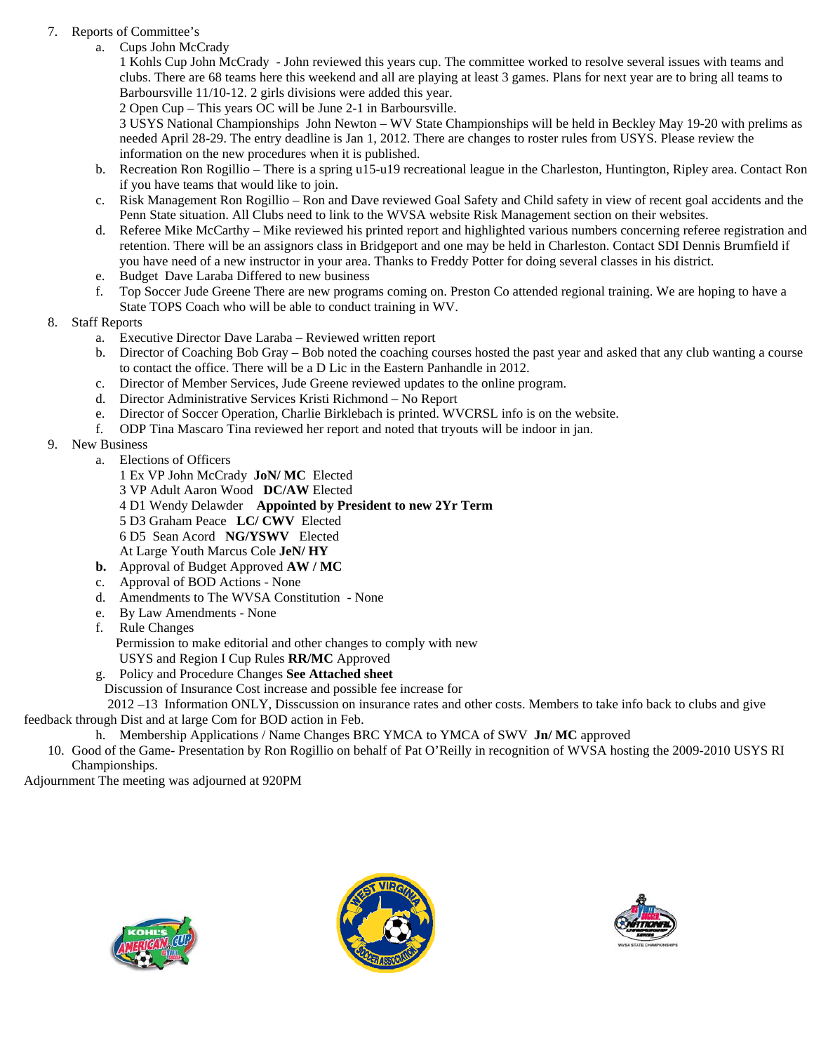#### 7. Reports of Committee's

a. Cups John McCrady

1 Kohls Cup John McCrady - John reviewed this years cup. The committee worked to resolve several issues with teams and clubs. There are 68 teams here this weekend and all are playing at least 3 games. Plans for next year are to bring all teams to Barboursville 11/10-12. 2 girls divisions were added this year.

2 Open Cup – This years OC will be June 2-1 in Barboursville.

3 USYS National Championships John Newton – WV State Championships will be held in Beckley May 19-20 with prelims as needed April 28-29. The entry deadline is Jan 1, 2012. There are changes to roster rules from USYS. Please review the information on the new procedures when it is published.

- b. Recreation Ron Rogillio There is a spring u15-u19 recreational league in the Charleston, Huntington, Ripley area. Contact Ron if you have teams that would like to join.
- c. Risk Management Ron Rogillio Ron and Dave reviewed Goal Safety and Child safety in view of recent goal accidents and the Penn State situation. All Clubs need to link to the WVSA website Risk Management section on their websites.
- d. Referee Mike McCarthy Mike reviewed his printed report and highlighted various numbers concerning referee registration and retention. There will be an assignors class in Bridgeport and one may be held in Charleston. Contact SDI Dennis Brumfield if you have need of a new instructor in your area. Thanks to Freddy Potter for doing several classes in his district.
- e. Budget Dave Laraba Differed to new business
- f. Top Soccer Jude Greene There are new programs coming on. Preston Co attended regional training. We are hoping to have a State TOPS Coach who will be able to conduct training in WV.
- 8. Staff Reports
	- a. Executive Director Dave Laraba Reviewed written report
	- b. Director of Coaching Bob Gray Bob noted the coaching courses hosted the past year and asked that any club wanting a course to contact the office. There will be a D Lic in the Eastern Panhandle in 2012.
	- c. Director of Member Services, Jude Greene reviewed updates to the online program.
	- d. Director Administrative Services Kristi Richmond No Report
	- e. Director of Soccer Operation, Charlie Birklebach is printed. WVCRSL info is on the website.
	- f. ODP Tina Mascaro Tina reviewed her report and noted that tryouts will be indoor in jan.
- 9. New Business
	- a. Elections of Officers
		- 1 Ex VP John McCrady **JoN/ MC** Elected
		- 3 VP Adult Aaron Wood **DC/AW** Elected
		- 4 D1 Wendy Delawder **Appointed by President to new 2Yr Term**
		- 5 D3 Graham Peace **LC/ CWV** Elected
		- 6 D5 Sean Acord **NG/YSWV** Elected
		- At Large Youth Marcus Cole **JeN/ HY**
	- **b.** Approval of Budget Approved **AW / MC**
	- c. Approval of BOD Actions None
	- d. Amendments to The WVSA Constitution None
	- e. By Law Amendments None
	- f. Rule Changes

Permission to make editorial and other changes to comply with new

- USYS and Region I Cup Rules **RR/MC** Approved
- g. Policy and Procedure Changes **See Attached sheet**

Discussion of Insurance Cost increase and possible fee increase for

 2012 –13 Information ONLY, Disscussion on insurance rates and other costs. Members to take info back to clubs and give feedback through Dist and at large Com for BOD action in Feb.

h. Membership Applications / Name Changes BRC YMCA to YMCA of SWV **Jn/ MC** approved

10. Good of the Game- Presentation by Ron Rogillio on behalf of Pat O'Reilly in recognition of WVSA hosting the 2009-2010 USYS RI Championships.

Adjournment The meeting was adjourned at 920PM





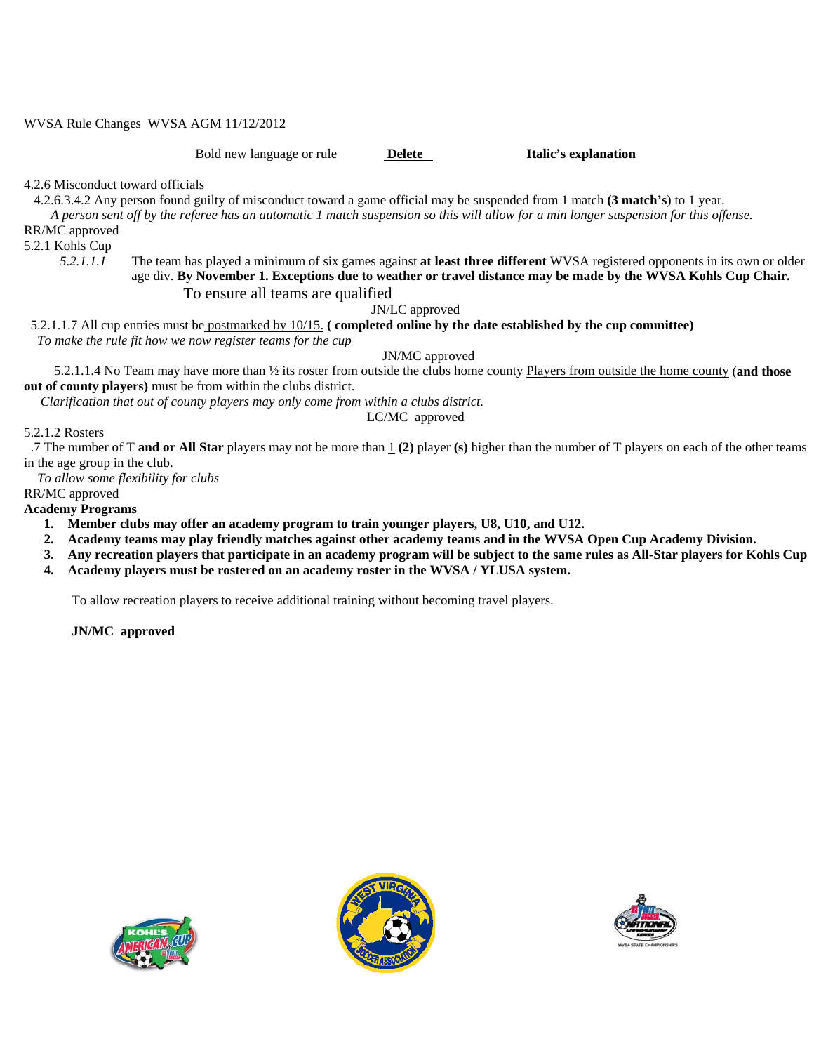WVSA Rule Changes WVSA AGM 11/12/2012

Bold new language or rule **Delete** Italic's explanation

4.2.6 Misconduct toward officials

4.2.6.3.4.2 Any person found guilty of misconduct toward a game official may be suspended from 1 match **(3 match's**) to 1 year.

 *A person sent off by the referee has an automatic 1 match suspension so this will allow for a min longer suspension for this offense.*  RR/MC approved

5.2.1 Kohls Cup

*5.2.1.1.1* The team has played a minimum of six games against **at least three different** WVSA registered opponents in its own or older age div. **By November 1. Exceptions due to weather or travel distance may be made by the WVSA Kohls Cup Chair.** To ensure all teams are qualified

JN/LC approved

 5.2.1.1.7 All cup entries must be postmarked by 10/15. **( completed online by the date established by the cup committee)**  *To make the rule fit how we now register teams for the cup* 

JN/MC approved

 5.2.1.1.4 No Team may have more than ½ its roster from outside the clubs home county Players from outside the home county (**and those out of county players)** must be from within the clubs district.

 *Clarification that out of county players may only come from within a clubs district.* 

LC/MC approved

#### 5.2.1.2 Rosters

.7 The number of T **and or All Star** players may not be more than 1 **(2)** player **(s)** higher than the number of T players on each of the other teams in the age group in the club.

*To allow some flexibility for clubs* 

RR/MC approved

**Academy Programs** 

- **1. Member clubs may offer an academy program to train younger players, U8, U10, and U12.**
- **2. Academy teams may play friendly matches against other academy teams and in the WVSA Open Cup Academy Division.**
- **3. Any recreation players that participate in an academy program will be subject to the same rules as All-Star players for Kohls Cup**
- **4. Academy players must be rostered on an academy roster in the WVSA / YLUSA system.**

To allow recreation players to receive additional training without becoming travel players.

**JN/MC approved** 





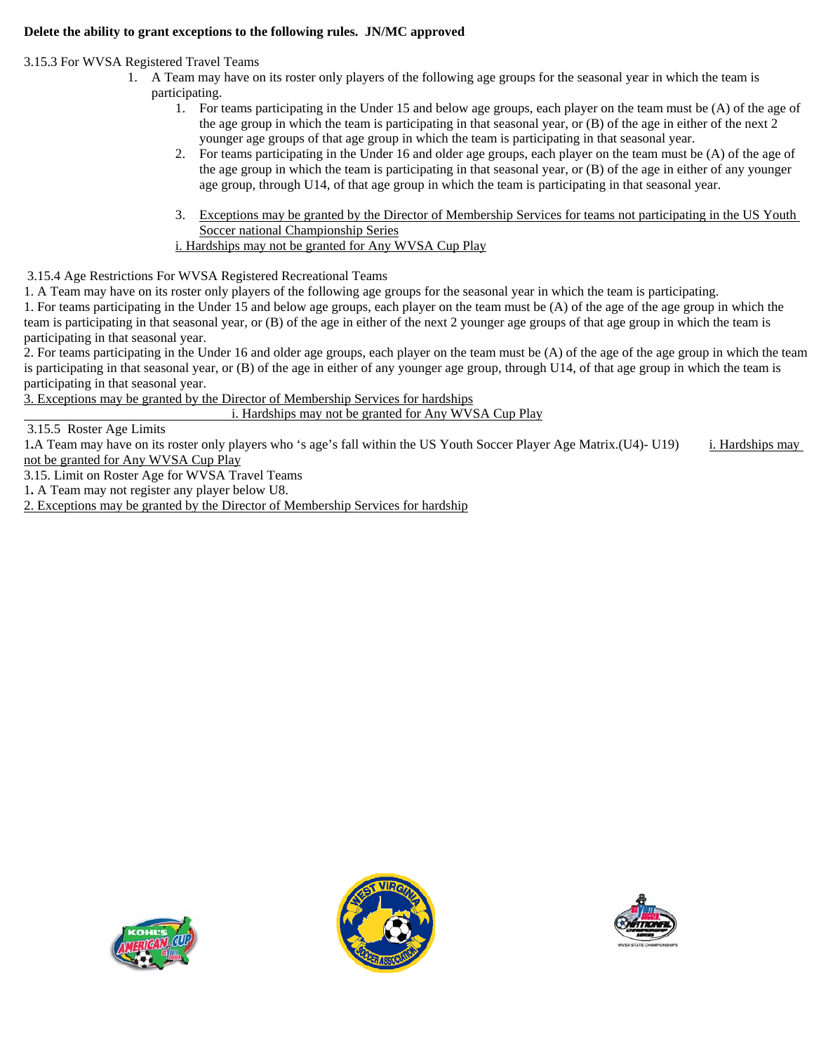#### **Delete the ability to grant exceptions to the following rules. JN/MC approved**

3.15.3 For WVSA Registered Travel Teams

- 1. A Team may have on its roster only players of the following age groups for the seasonal year in which the team is participating.
	- 1. For teams participating in the Under 15 and below age groups, each player on the team must be (A) of the age of the age group in which the team is participating in that seasonal year, or (B) of the age in either of the next 2 younger age groups of that age group in which the team is participating in that seasonal year.
	- 2. For teams participating in the Under 16 and older age groups, each player on the team must be (A) of the age of the age group in which the team is participating in that seasonal year, or (B) of the age in either of any younger age group, through U14, of that age group in which the team is participating in that seasonal year.
	- 3. Exceptions may be granted by the Director of Membership Services for teams not participating in the US Youth Soccer national Championship Series i. Hardships may not be granted for Any WVSA Cup Play

3.15.4 Age Restrictions For WVSA Registered Recreational Teams

1. A Team may have on its roster only players of the following age groups for the seasonal year in which the team is participating.

1. For teams participating in the Under 15 and below age groups, each player on the team must be (A) of the age of the age group in which the team is participating in that seasonal year, or (B) of the age in either of the next 2 younger age groups of that age group in which the team is participating in that seasonal year.

2. For teams participating in the Under 16 and older age groups, each player on the team must be (A) of the age of the age group in which the team is participating in that seasonal year, or (B) of the age in either of any younger age group, through U14, of that age group in which the team is participating in that seasonal year.

3. Exceptions may be granted by the Director of Membership Services for hardships

i. Hardships may not be granted for Any WVSA Cup Play

3.15.5 Roster Age Limits

1.A Team may have on its roster only players who 's age's fall within the US Youth Soccer Player Age Matrix.(U4)- U19) i. Hardships may not be granted for Any WVSA Cup Play

3.15. Limit on Roster Age for WVSA Travel Teams

1**.** A Team may not register any player below U8.

2. Exceptions may be granted by the Director of Membership Services for hardship





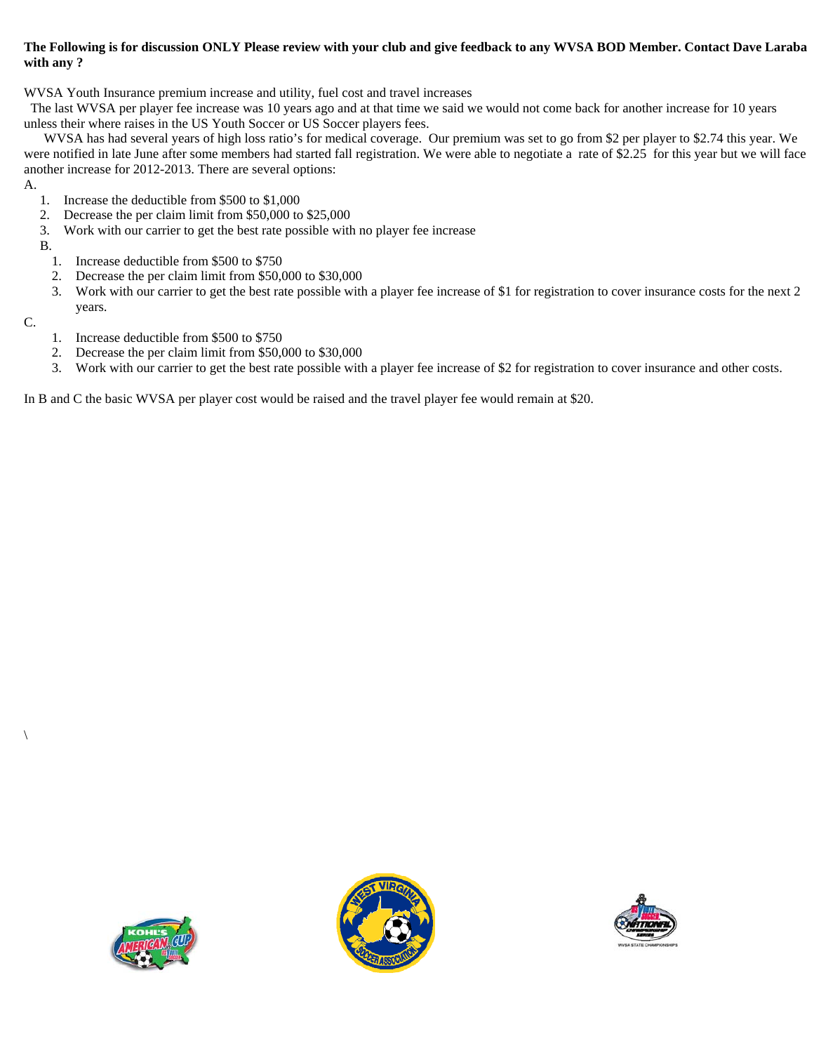#### **The Following is for discussion ONLY Please review with your club and give feedback to any WVSA BOD Member. Contact Dave Laraba with any ?**

WVSA Youth Insurance premium increase and utility, fuel cost and travel increases

 The last WVSA per player fee increase was 10 years ago and at that time we said we would not come back for another increase for 10 years unless their where raises in the US Youth Soccer or US Soccer players fees.

 WVSA has had several years of high loss ratio's for medical coverage. Our premium was set to go from \$2 per player to \$2.74 this year. We were notified in late June after some members had started fall registration. We were able to negotiate a rate of \$2.25 for this year but we will face another increase for 2012-2013. There are several options:

A.

- 1. Increase the deductible from \$500 to \$1,000
- 2. Decrease the per claim limit from \$50,000 to \$25,000
- 3. Work with our carrier to get the best rate possible with no player fee increase

B.

- 1. Increase deductible from \$500 to \$750
- 2. Decrease the per claim limit from \$50,000 to \$30,000
- 3. Work with our carrier to get the best rate possible with a player fee increase of \$1 for registration to cover insurance costs for the next 2 years.

C.

 $\setminus$ 

- 1. Increase deductible from \$500 to \$750
- 2. Decrease the per claim limit from \$50,000 to \$30,000
- 3. Work with our carrier to get the best rate possible with a player fee increase of \$2 for registration to cover insurance and other costs.

In B and C the basic WVSA per player cost would be raised and the travel player fee would remain at \$20.





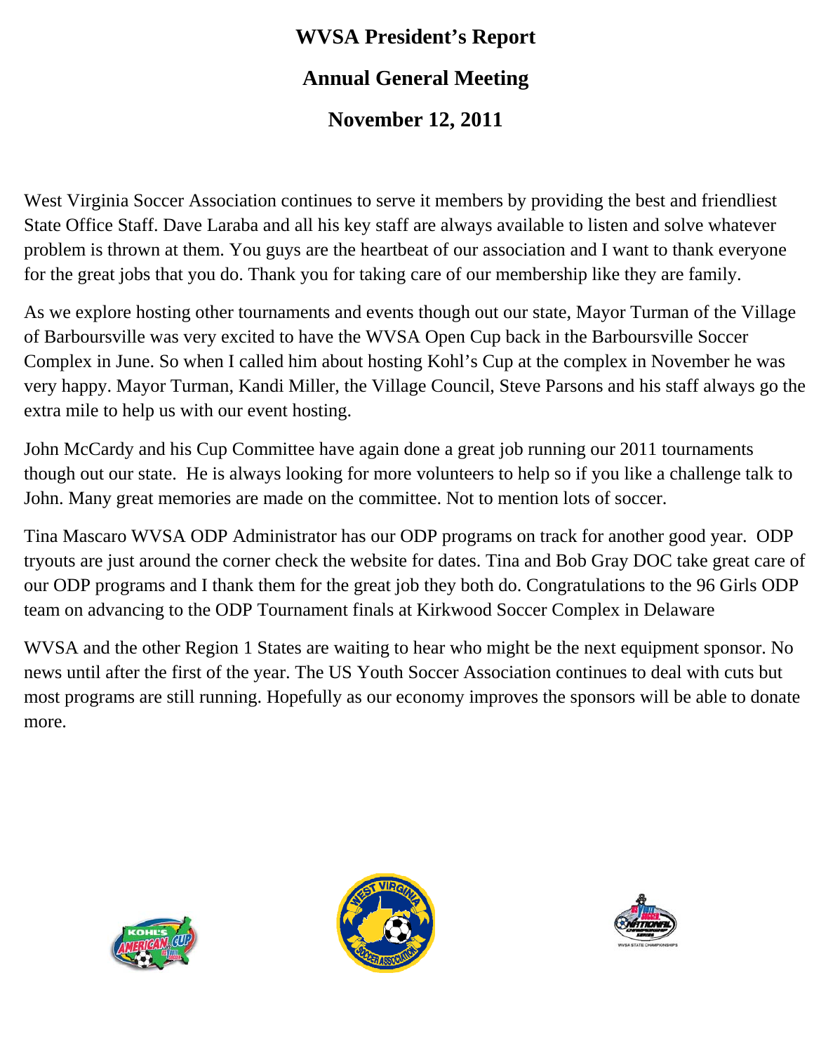## **WVSA President's Report Annual General Meeting**

## **November 12, 2011**

West Virginia Soccer Association continues to serve it members by providing the best and friendliest State Office Staff. Dave Laraba and all his key staff are always available to listen and solve whatever problem is thrown at them. You guys are the heartbeat of our association and I want to thank everyone for the great jobs that you do. Thank you for taking care of our membership like they are family.

As we explore hosting other tournaments and events though out our state, Mayor Turman of the Village of Barboursville was very excited to have the WVSA Open Cup back in the Barboursville Soccer Complex in June. So when I called him about hosting Kohl's Cup at the complex in November he was very happy. Mayor Turman, Kandi Miller, the Village Council, Steve Parsons and his staff always go the extra mile to help us with our event hosting.

John McCardy and his Cup Committee have again done a great job running our 2011 tournaments though out our state. He is always looking for more volunteers to help so if you like a challenge talk to John. Many great memories are made on the committee. Not to mention lots of soccer.

Tina Mascaro WVSA ODP Administrator has our ODP programs on track for another good year. ODP tryouts are just around the corner check the website for dates. Tina and Bob Gray DOC take great care of our ODP programs and I thank them for the great job they both do. Congratulations to the 96 Girls ODP team on advancing to the ODP Tournament finals at Kirkwood Soccer Complex in Delaware

WVSA and the other Region 1 States are waiting to hear who might be the next equipment sponsor. No news until after the first of the year. The US Youth Soccer Association continues to deal with cuts but most programs are still running. Hopefully as our economy improves the sponsors will be able to donate more.





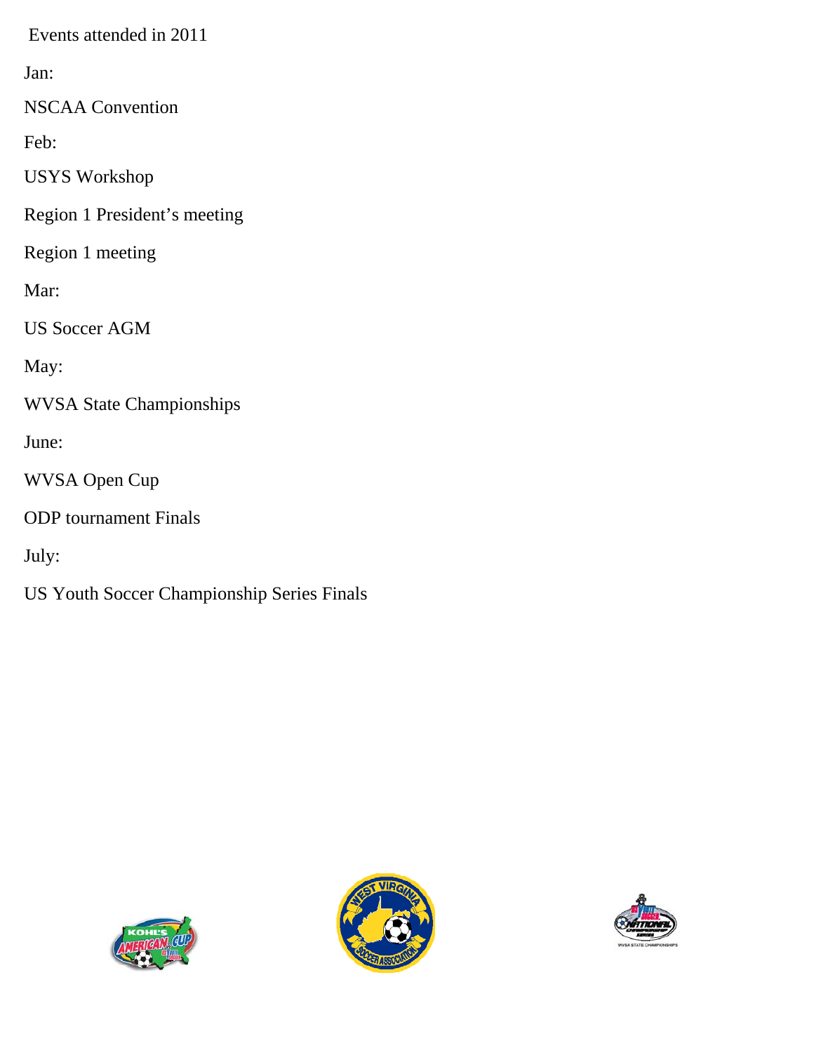Events attended in 2011

Jan:

NSCAA Convention

Feb:

USYS Workshop

Region 1 President's meeting

Region 1 meeting

Mar:

US Soccer AGM

May:

WVSA State Championships

June:

WVSA Open Cup

ODP tournament Finals

July:

US Youth Soccer Championship Series Finals





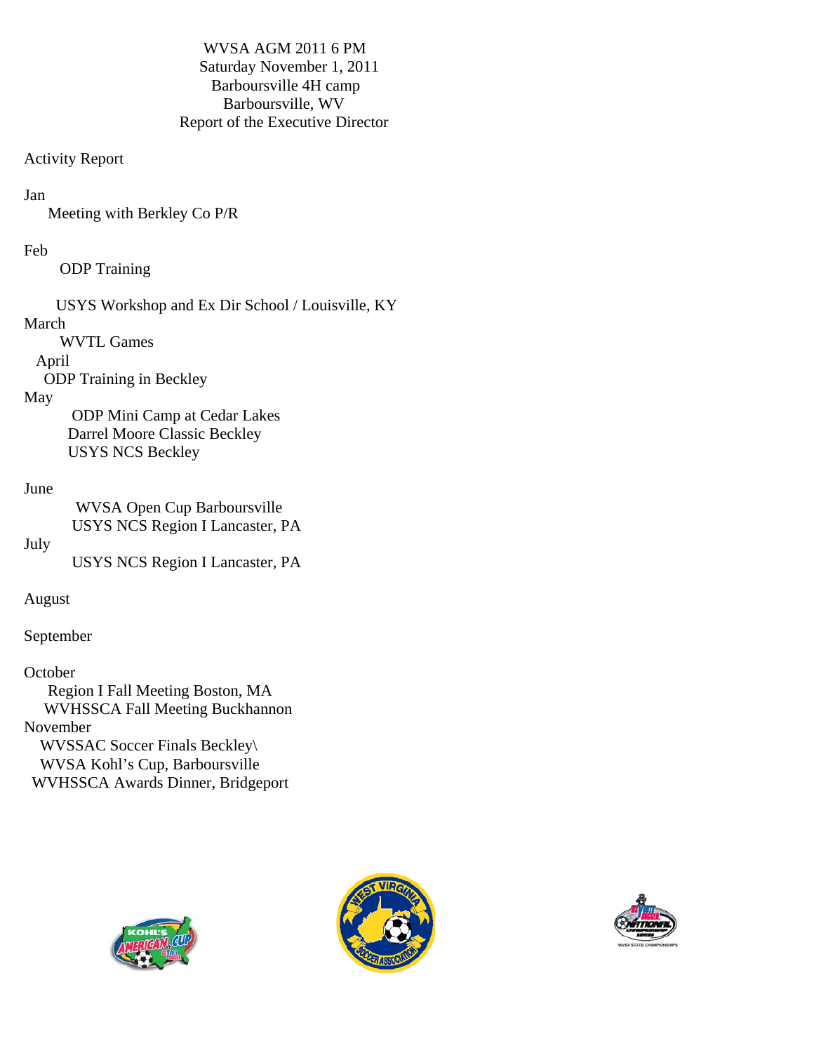WVSA AGM 2011 6 PM Saturday November 1, 2011 Barboursville 4H camp Barboursville, WV Report of the Executive Director

#### Activity Report

#### Jan

Meeting with Berkley Co P/R

#### Feb

ODP Training

USYS Workshop and Ex Dir School / Louisville, KY

#### March

WVTL Games

#### April

ODP Training in Beckley

#### May

 ODP Mini Camp at Cedar Lakes Darrel Moore Classic Beckley USYS NCS Beckley

#### June

 WVSA Open Cup Barboursville USYS NCS Region I Lancaster, PA

#### July

USYS NCS Region I Lancaster, PA

#### August

September

#### **October**

 Region I Fall Meeting Boston, MA WVHSSCA Fall Meeting Buckhannon November WVSSAC Soccer Finals Beckley\ WVSA Kohl's Cup, Barboursville WVHSSCA Awards Dinner, Bridgeport





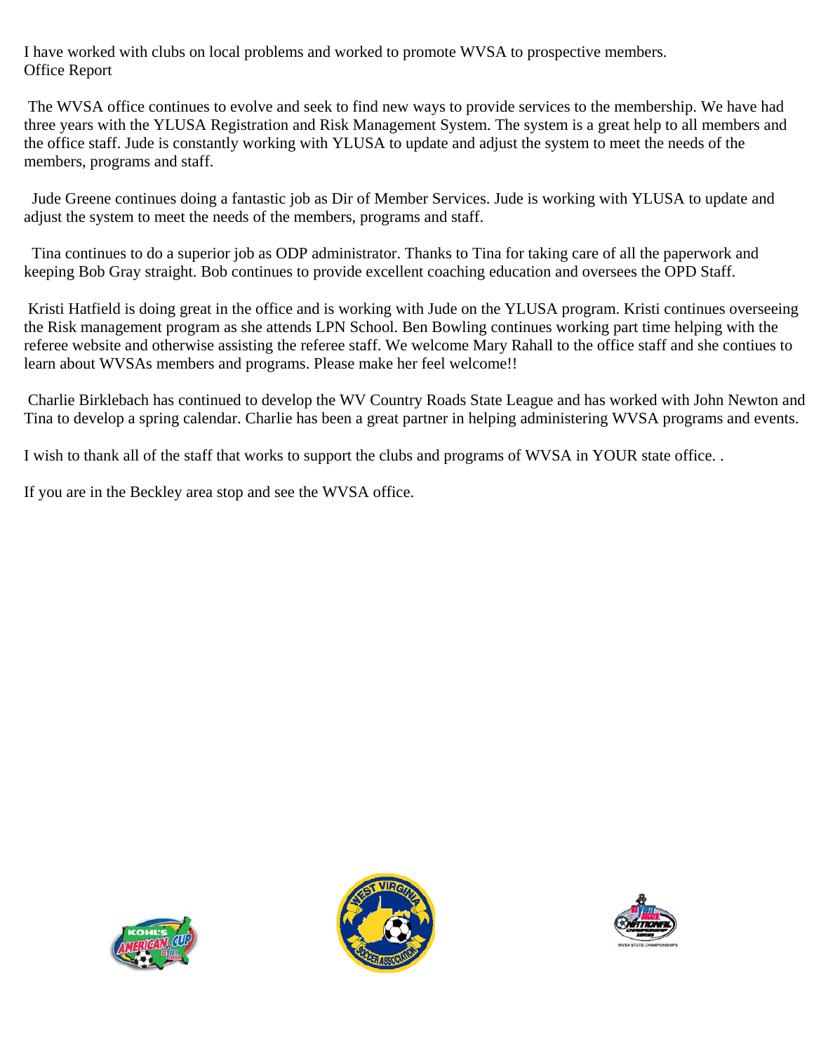I have worked with clubs on local problems and worked to promote WVSA to prospective members. Office Report

 The WVSA office continues to evolve and seek to find new ways to provide services to the membership. We have had three years with the YLUSA Registration and Risk Management System. The system is a great help to all members and the office staff. Jude is constantly working with YLUSA to update and adjust the system to meet the needs of the members, programs and staff.

 Jude Greene continues doing a fantastic job as Dir of Member Services. Jude is working with YLUSA to update and adjust the system to meet the needs of the members, programs and staff.

 Tina continues to do a superior job as ODP administrator. Thanks to Tina for taking care of all the paperwork and keeping Bob Gray straight. Bob continues to provide excellent coaching education and oversees the OPD Staff.

 Kristi Hatfield is doing great in the office and is working with Jude on the YLUSA program. Kristi continues overseeing the Risk management program as she attends LPN School. Ben Bowling continues working part time helping with the referee website and otherwise assisting the referee staff. We welcome Mary Rahall to the office staff and she contiues to learn about WVSAs members and programs. Please make her feel welcome!!

 Charlie Birklebach has continued to develop the WV Country Roads State League and has worked with John Newton and Tina to develop a spring calendar. Charlie has been a great partner in helping administering WVSA programs and events.

I wish to thank all of the staff that works to support the clubs and programs of WVSA in YOUR state office. .

If you are in the Beckley area stop and see the WVSA office.





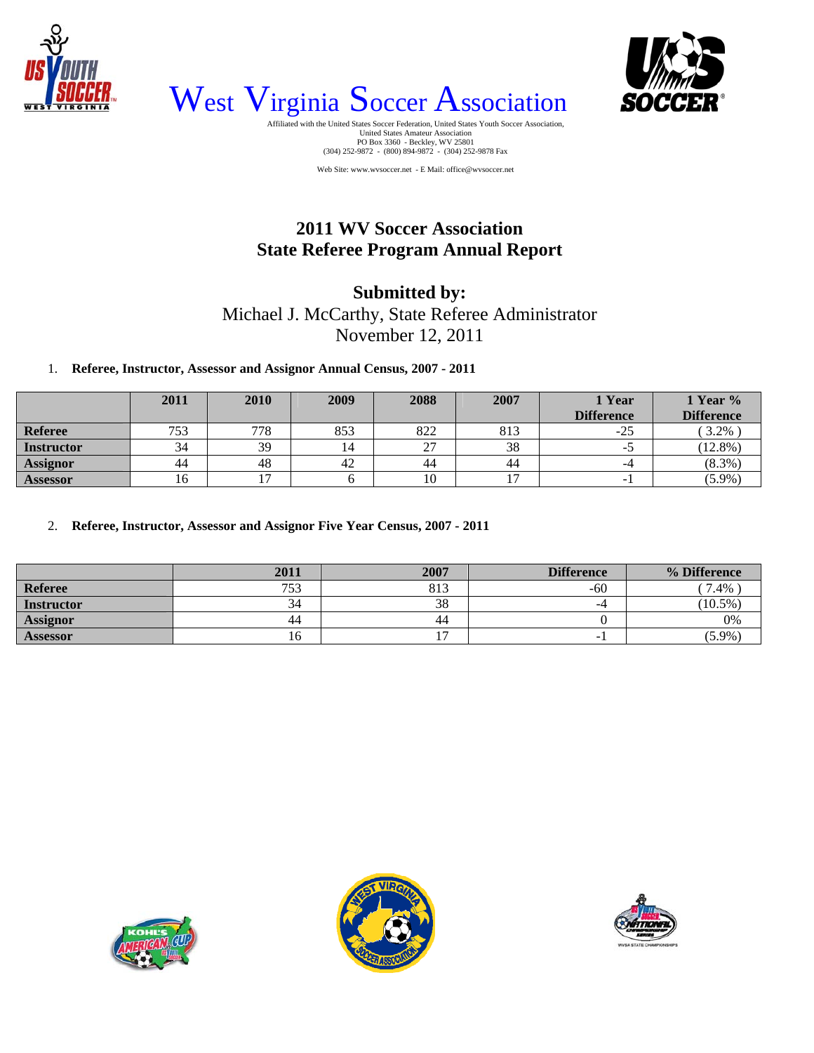



West Virginia Soccer Association

United States Amateur Association PO Box 3360 - Beckley, WV 25801 (304) 252-9872 - (800) 894-9872 - (304) 252-9878 Fax

Web Site: www.wvsoccer.net - E Mail: office@wvsoccer.net

## **2011 WV Soccer Association State Referee Program Annual Report**

### **Submitted by:**  Michael J. McCarthy, State Referee Administrator November 12, 2011

1. **Referee, Instructor, Assessor and Assignor Annual Census, 2007 - 2011**

|                   | 2011 | 2010 | 2009 | 2088 | 2007 | <b>1 Year</b><br><b>Difference</b> | 1 Year %<br><b>Difference</b> |
|-------------------|------|------|------|------|------|------------------------------------|-------------------------------|
| <b>Referee</b>    | 753  | 778  | 853  | 822  | 813  | $-25$                              | 3.2%                          |
| <b>Instructor</b> | 34   | 39   | 4ء   | 27   | 38   | - 1                                | $(12.8\%)$                    |
| <b>Assignor</b>   | 44   | 48   | 42   | 44   | 44   | -4                                 | $(8.3\%)$                     |
| <b>Assessor</b>   | 16   |      |      | 10   | -    | $\overline{\phantom{0}}$           | $(5.9\%)$                     |

2. **Referee, Instructor, Assessor and Assignor Five Year Census, 2007 - 2011**

|                   | 2011       | 2007 | <b>Difference</b> | % Difference |
|-------------------|------------|------|-------------------|--------------|
| Referee           | 752<br>ں ر | 813  | $-60$             | 7.4%         |
| <b>Instructor</b> | 34         | 38   | -4                | $(10.5\%)$   |
| <b>Assignor</b>   | 44         | 44   |                   | 0%           |
| <b>Assessor</b>   | 10         |      | -                 | $(5.9\%)$    |





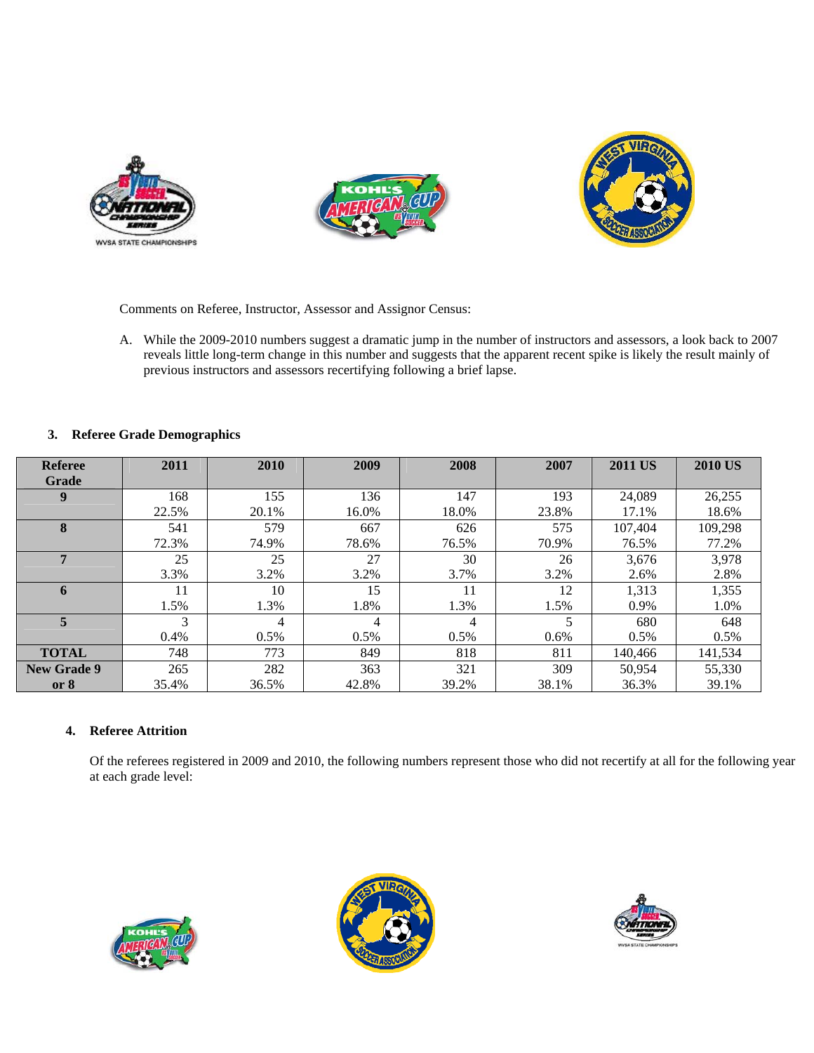





Comments on Referee, Instructor, Assessor and Assignor Census:

A. While the 2009-2010 numbers suggest a dramatic jump in the number of instructors and assessors, a look back to 2007 reveals little long-term change in this number and suggests that the apparent recent spike is likely the result mainly of previous instructors and assessors recertifying following a brief lapse.

#### **3. Referee Grade Demographics**

| <b>Referee</b>     | 2011  | 2010    | 2009    | 2008  | 2007  | <b>2011 US</b> | <b>2010 US</b> |
|--------------------|-------|---------|---------|-------|-------|----------------|----------------|
| Grade              |       |         |         |       |       |                |                |
| 9                  | 168   | 155     | 136     | 147   | 193   | 24,089         | 26,255         |
|                    | 22.5% | 20.1%   | 16.0%   | 18.0% | 23.8% | 17.1%          | 18.6%          |
| 8                  | 541   | 579     | 667     | 626   | 575   | 107.404        | 109.298        |
|                    | 72.3% | 74.9%   | 78.6%   | 76.5% | 70.9% | 76.5%          | 77.2%          |
| 7                  | 25    | 25      | 27      | 30    | 26    | 3,676          | 3,978          |
|                    | 3.3%  | 3.2%    | 3.2%    | 3.7%  | 3.2%  | 2.6%           | 2.8%           |
| 6                  | 11    | 10      | 15      | 11    | 12    | 1,313          | 1,355          |
|                    | 1.5%  | 1.3%    | 1.8%    | 1.3%  | 1.5%  | 0.9%           | 1.0%           |
| 5                  | 3     | 4       | 4       | 4     | 5     | 680            | 648            |
|                    | 0.4%  | $0.5\%$ | $0.5\%$ | 0.5%  | 0.6%  | 0.5%           | 0.5%           |
| <b>TOTAL</b>       | 748   | 773     | 849     | 818   | 811   | 140,466        | 141.534        |
| <b>New Grade 9</b> | 265   | 282     | 363     | 321   | 309   | 50,954         | 55,330         |
| or 8               | 35.4% | 36.5%   | 42.8%   | 39.2% | 38.1% | 36.3%          | 39.1%          |

#### **4. Referee Attrition**

Of the referees registered in 2009 and 2010, the following numbers represent those who did not recertify at all for the following year at each grade level:





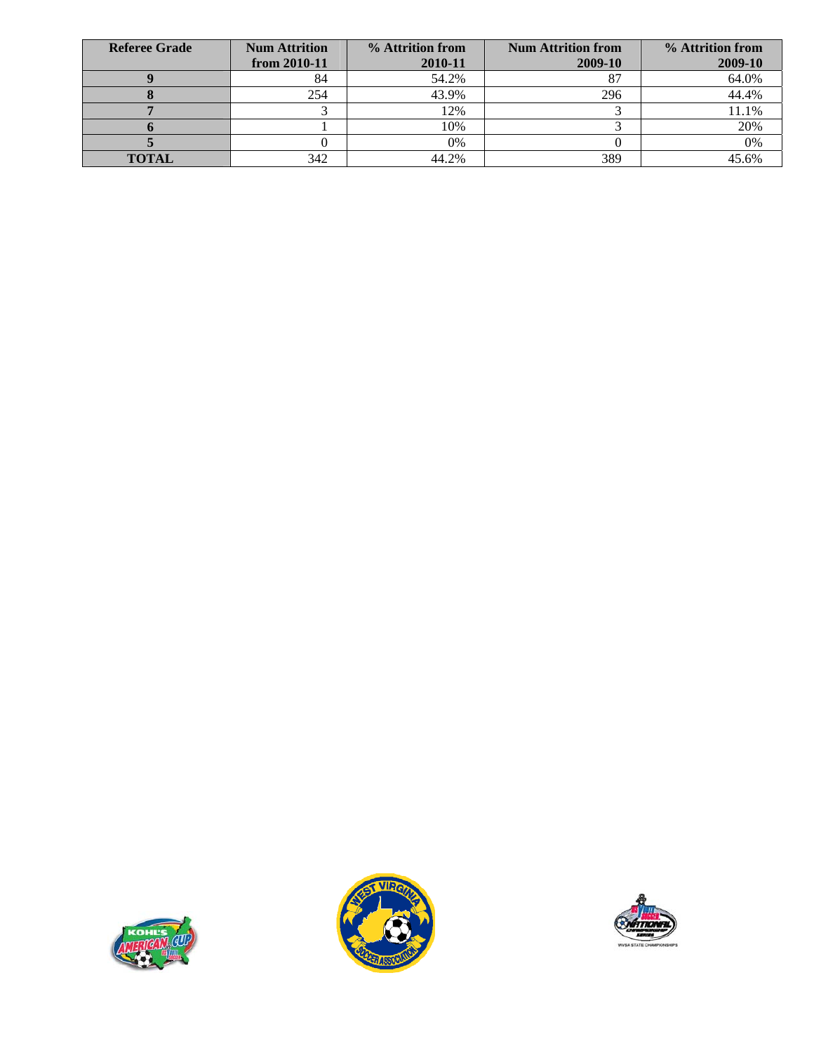| <b>Referee Grade</b> | <b>Num Attrition</b><br>from $2010 - 11$ | % Attrition from<br>2010-11 | <b>Num Attrition from</b><br>2009-10 | % Attrition from<br>2009-10 |
|----------------------|------------------------------------------|-----------------------------|--------------------------------------|-----------------------------|
|                      | 84                                       | 54.2%                       |                                      | 64.0%                       |
|                      | 254                                      | 43.9%                       | 296                                  | 44.4%                       |
|                      |                                          | 12%                         |                                      | 11.1%                       |
|                      |                                          | 10%                         |                                      | 20%                         |
|                      |                                          | 0%                          |                                      | 0%                          |
| <b>TOTAL</b>         | 342                                      | 44.2%                       | 389                                  | 45.6%                       |





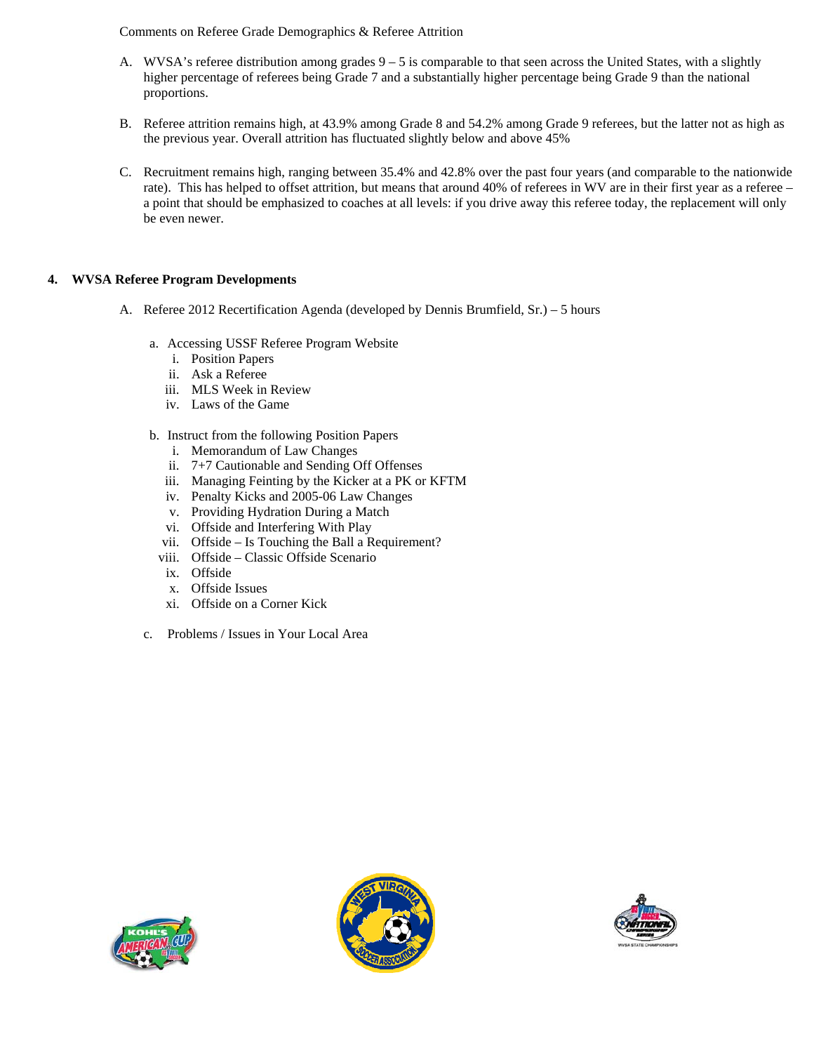Comments on Referee Grade Demographics & Referee Attrition

- A. WVSA's referee distribution among grades  $9 5$  is comparable to that seen across the United States, with a slightly higher percentage of referees being Grade 7 and a substantially higher percentage being Grade 9 than the national proportions.
- B. Referee attrition remains high, at 43.9% among Grade 8 and 54.2% among Grade 9 referees, but the latter not as high as the previous year. Overall attrition has fluctuated slightly below and above 45%
- C. Recruitment remains high, ranging between 35.4% and 42.8% over the past four years (and comparable to the nationwide rate). This has helped to offset attrition, but means that around 40% of referees in WV are in their first year as a referee – a point that should be emphasized to coaches at all levels: if you drive away this referee today, the replacement will only be even newer.

#### **4. WVSA Referee Program Developments**

- A. Referee 2012 Recertification Agenda (developed by Dennis Brumfield, Sr.) 5 hours
	- a. Accessing USSF Referee Program Website
		- i. Position Papers
		- ii. Ask a Referee
		- iii. MLS Week in Review
		- iv. Laws of the Game
	- b. Instruct from the following Position Papers
		- i. Memorandum of Law Changes
		- ii. 7+7 Cautionable and Sending Off Offenses
		- iii. Managing Feinting by the Kicker at a PK or KFTM
		- iv. Penalty Kicks and 2005-06 Law Changes
		- v. Providing Hydration During a Match
		- vi. Offside and Interfering With Play
		- vii. Offside Is Touching the Ball a Requirement?
		- viii. Offside Classic Offside Scenario
		- ix. Offside
		- x. Offside Issues
		- xi. Offside on a Corner Kick
	- c. Problems / Issues in Your Local Area





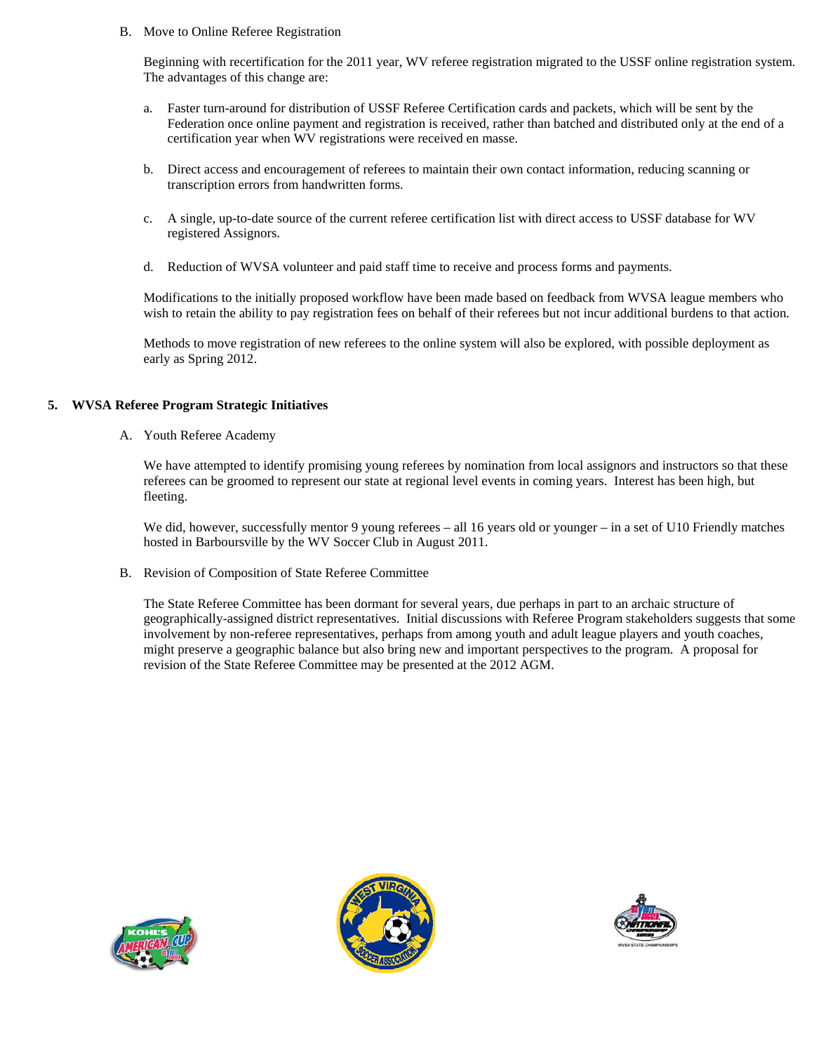B. Move to Online Referee Registration

Beginning with recertification for the 2011 year, WV referee registration migrated to the USSF online registration system. The advantages of this change are:

- a. Faster turn-around for distribution of USSF Referee Certification cards and packets, which will be sent by the Federation once online payment and registration is received, rather than batched and distributed only at the end of a certification year when WV registrations were received en masse.
- b. Direct access and encouragement of referees to maintain their own contact information, reducing scanning or transcription errors from handwritten forms.
- c. A single, up-to-date source of the current referee certification list with direct access to USSF database for WV registered Assignors.
- d. Reduction of WVSA volunteer and paid staff time to receive and process forms and payments.

Modifications to the initially proposed workflow have been made based on feedback from WVSA league members who wish to retain the ability to pay registration fees on behalf of their referees but not incur additional burdens to that action.

Methods to move registration of new referees to the online system will also be explored, with possible deployment as early as Spring 2012.

#### **5. WVSA Referee Program Strategic Initiatives**

A. Youth Referee Academy

We have attempted to identify promising young referees by nomination from local assignors and instructors so that these referees can be groomed to represent our state at regional level events in coming years. Interest has been high, but fleeting.

We did, however, successfully mentor 9 young referees – all 16 years old or younger – in a set of U10 Friendly matches hosted in Barboursville by the WV Soccer Club in August 2011.

B. Revision of Composition of State Referee Committee

The State Referee Committee has been dormant for several years, due perhaps in part to an archaic structure of geographically-assigned district representatives. Initial discussions with Referee Program stakeholders suggests that some involvement by non-referee representatives, perhaps from among youth and adult league players and youth coaches, might preserve a geographic balance but also bring new and important perspectives to the program. A proposal for revision of the State Referee Committee may be presented at the 2012 AGM.





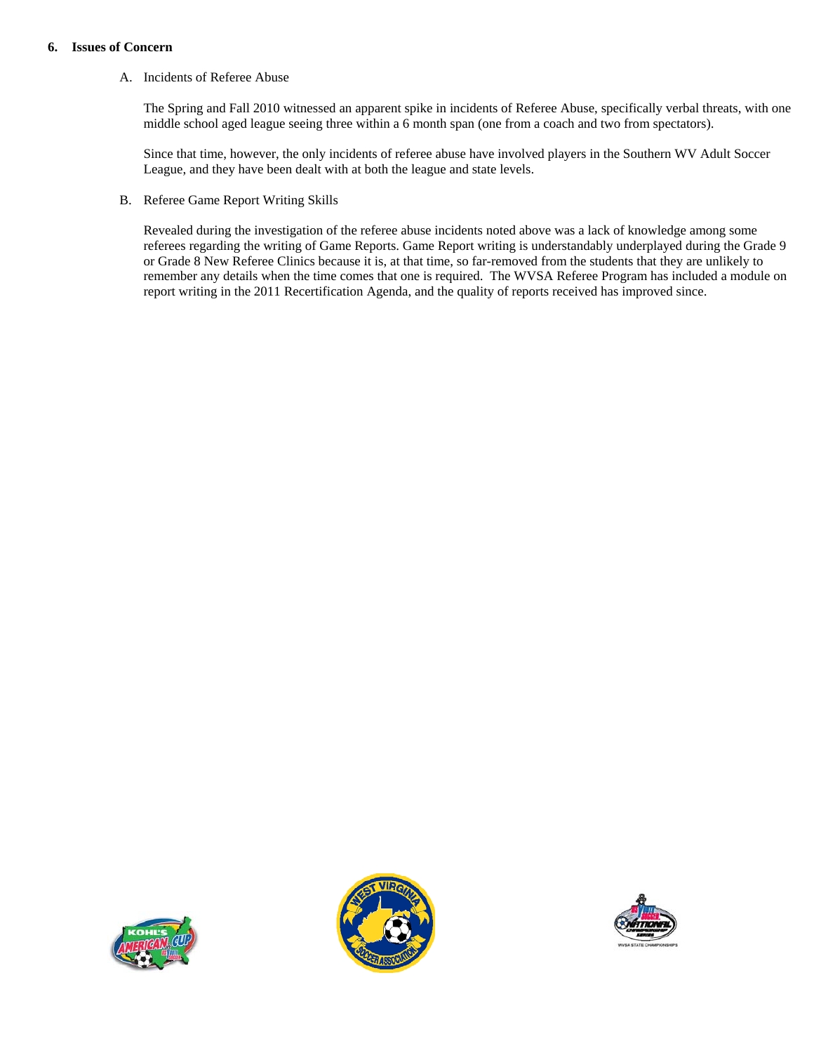#### **6. Issues of Concern**

#### A. Incidents of Referee Abuse

The Spring and Fall 2010 witnessed an apparent spike in incidents of Referee Abuse, specifically verbal threats, with one middle school aged league seeing three within a 6 month span (one from a coach and two from spectators).

Since that time, however, the only incidents of referee abuse have involved players in the Southern WV Adult Soccer League, and they have been dealt with at both the league and state levels.

B. Referee Game Report Writing Skills

Revealed during the investigation of the referee abuse incidents noted above was a lack of knowledge among some referees regarding the writing of Game Reports. Game Report writing is understandably underplayed during the Grade 9 or Grade 8 New Referee Clinics because it is, at that time, so far-removed from the students that they are unlikely to remember any details when the time comes that one is required. The WVSA Referee Program has included a module on report writing in the 2011 Recertification Agenda, and the quality of reports received has improved since.